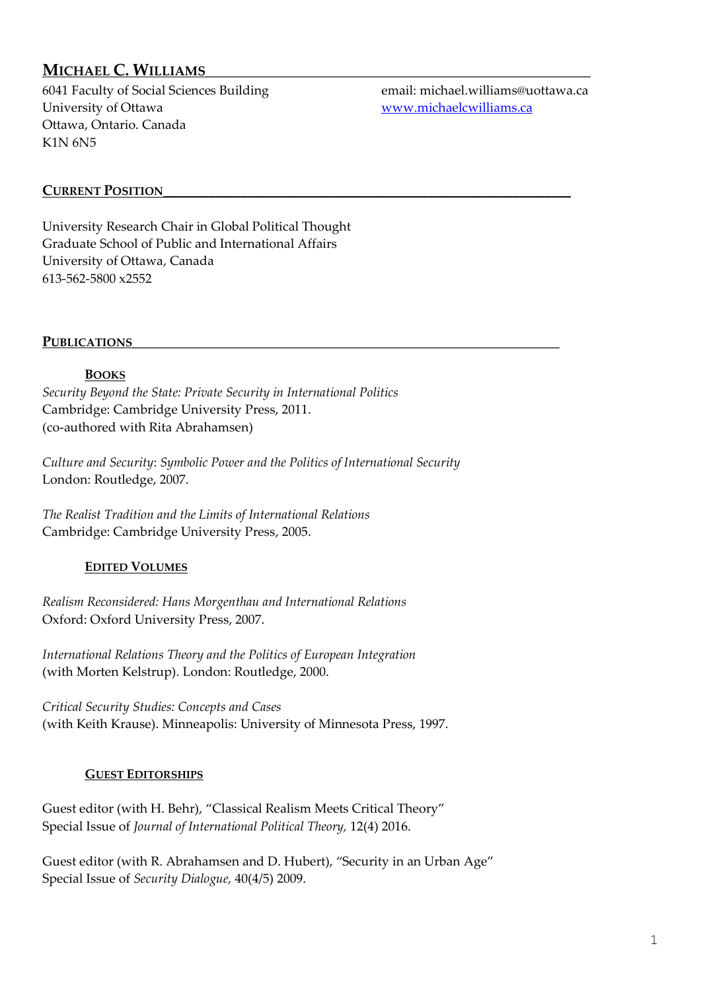# **MICHAEL C. WILLIAMS\_\_\_\_\_\_\_\_\_\_\_\_\_\_\_\_\_\_\_\_\_\_\_\_\_\_\_\_\_\_\_\_\_\_\_\_\_\_\_\_\_\_\_\_\_\_\_\_\_**

6041 Faculty of Social Sciences Building email: michael.williams@uottawa.ca University of Ottawa <www.michaelcwilliams.ca> Ottawa, Ontario. Canada K1N 6N5

## **CURRENT POSITION\_\_\_\_\_\_\_\_\_\_\_\_\_\_\_\_\_\_\_\_\_\_\_\_\_\_\_\_\_\_\_\_\_\_\_\_\_\_\_\_\_\_\_\_\_\_\_\_\_\_\_\_\_\_\_\_\_\_\_\_\_\_\_**

University Research Chair in Global Political Thought Graduate School of Public and International Affairs University of Ottawa, Canada 613-562-5800 x2552

#### PUBLICATIONS

### **BOOKS**

*Security Beyond the State: Private Security in International Politics* Cambridge: Cambridge University Press, 2011. (co-authored with Rita Abrahamsen)

*Culture and Security*: *Symbolic Power and the Politics of International Security* London: Routledge, 2007.

*The Realist Tradition and the Limits of International Relations* Cambridge: Cambridge University Press, 2005.

#### **EDITED VOLUMES**

*Realism Reconsidered: Hans Morgenthau and International Relations* Oxford: Oxford University Press, 2007.

*International Relations Theory and the Politics of European Integration* (with Morten Kelstrup). London: Routledge, 2000.

*Critical Security Studies: Concepts and Cases* (with Keith Krause). Minneapolis: University of Minnesota Press, 1997.

#### **GUEST EDITORSHIPS**

Guest editor (with H. Behr), "Classical Realism Meets Critical Theory" Special Issue of *Journal of International Political Theory,* 12(4) 2016.

Guest editor (with R. Abrahamsen and D. Hubert), "Security in an Urban Age" Special Issue of *Security Dialogue,* 40(4/5) 2009.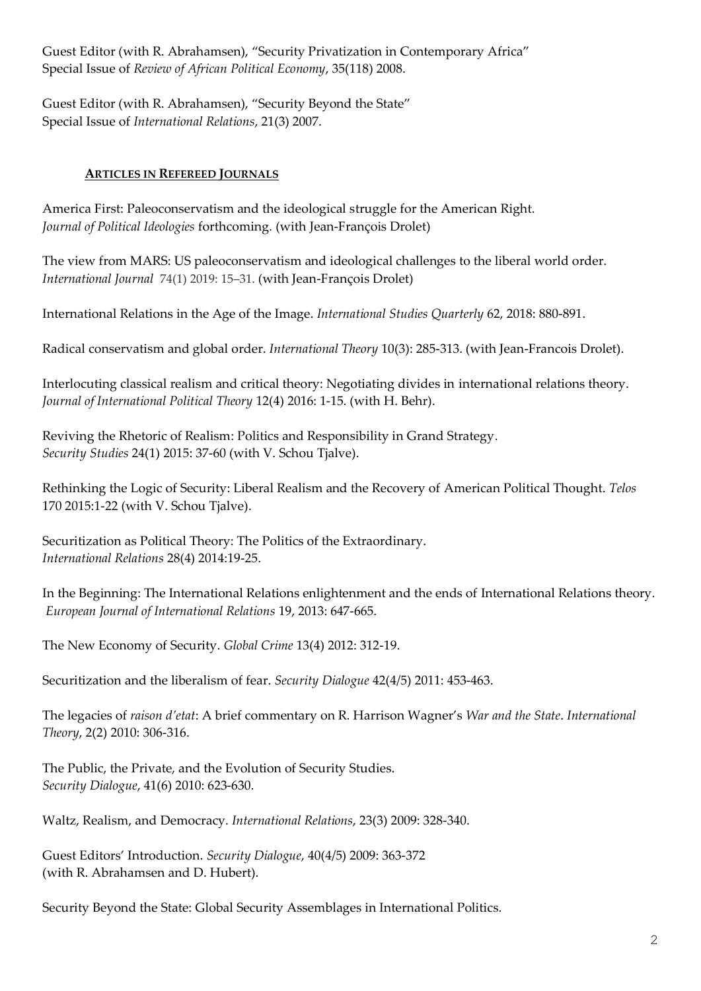Guest Editor (with R. Abrahamsen), "Security Privatization in Contemporary Africa" Special Issue of *Review of African Political Economy*, 35(118) 2008.

Guest Editor (with R. Abrahamsen), "Security Beyond the State" Special Issue of *International Relations*, 21(3) 2007.

## **ARTICLES IN REFEREED JOURNALS**

America First: Paleoconservatism and the ideological struggle for the American Right. *Journal of Political Ideologies* forthcoming*.* (with Jean-François Drolet)

The view from MARS: US paleoconservatism and ideological challenges to the liberal world order. *International Journal* 74(1) 2019: 15–31. (with Jean-François Drolet)

International Relations in the Age of the Image. *International Studies Quarterly* 62, 2018: 880-891.

Radical conservatism and global order. *International Theory* 10(3): 285-313. (with Jean-Francois Drolet).

Interlocuting classical realism and critical theory: Negotiating divides in international relations theory. *Journal of International Political Theory* 12(4) 2016: 1-15. (with H. Behr).

Reviving the Rhetoric of Realism: Politics and Responsibility in Grand Strategy. *Security Studies* 24(1) 2015: 37-60 (with V. Schou Tjalve).

Rethinking the Logic of Security: Liberal Realism and the Recovery of American Political Thought. *Telos* 170 2015:1-22 (with V. Schou Tjalve).

Securitization as Political Theory: The Politics of the Extraordinary. *International Relations* 28(4) 2014:19-25.

In the Beginning: The International Relations enlightenment and the ends of International Relations theory. *European Journal of International Relations* 19, 2013: 647-665.

The New Economy of Security. *Global Crime* 13(4) 2012: 312-19.

Securitization and the liberalism of fear. *Security Dialogue* 42(4/5) 2011: 453-463.

The legacies of *raison d'etat*: A brief commentary on R. Harrison Wagner's *War and the State*. *International Theory*, 2(2) 2010: 306-316.

The Public, the Private, and the Evolution of Security Studies. *Security Dialogue*, 41(6) 2010: 623-630.

Waltz, Realism, and Democracy. *International Relations*, 23(3) 2009: 328-340.

Guest Editors' Introduction. *Security Dialogue*, 40(4/5) 2009: 363-372 (with R. Abrahamsen and D. Hubert).

Security Beyond the State: Global Security Assemblages in International Politics.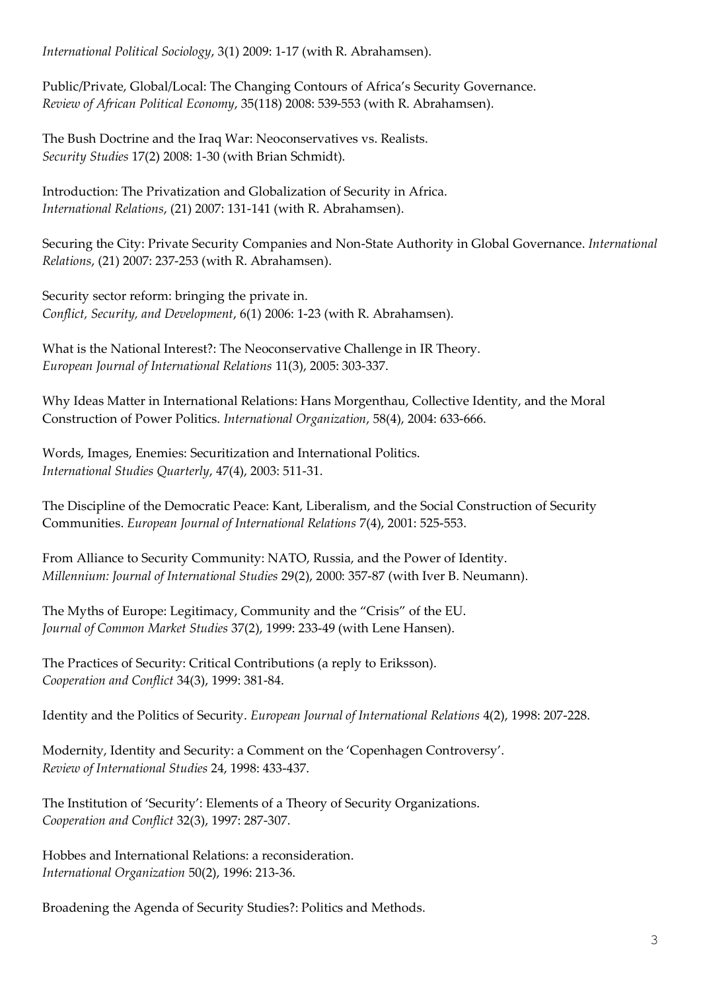*International Political Sociology*, 3(1) 2009: 1-17 (with R. Abrahamsen).

Public/Private, Global/Local: The Changing Contours of Africa's Security Governance. *Review of African Political Economy*, 35(118) 2008: 539-553 (with R. Abrahamsen).

The Bush Doctrine and the Iraq War: Neoconservatives vs. Realists. *Security Studies* 17(2) 2008: 1-30 (with Brian Schmidt).

Introduction: The Privatization and Globalization of Security in Africa. *International Relations*, (21) 2007: 131-141 (with R. Abrahamsen).

Securing the City: Private Security Companies and Non-State Authority in Global Governance. *International Relations*, (21) 2007: 237-253 (with R. Abrahamsen).

Security sector reform: bringing the private in. *Conflict, Security, and Development*, 6(1) 2006: 1-23 (with R. Abrahamsen).

What is the National Interest?: The Neoconservative Challenge in IR Theory. *European Journal of International Relations* 11(3), 2005: 303-337.

Why Ideas Matter in International Relations: Hans Morgenthau, Collective Identity, and the Moral Construction of Power Politics. *International Organization*, 58(4), 2004: 633-666.

Words, Images, Enemies: Securitization and International Politics. *International Studies Quarterly*, 47(4), 2003: 511-31.

The Discipline of the Democratic Peace: Kant, Liberalism, and the Social Construction of Security Communities. *European Journal of International Relations* 7(4), 2001: 525-553.

From Alliance to Security Community: NATO, Russia, and the Power of Identity. *Millennium: Journal of International Studies* 29(2), 2000: 357-87 (with Iver B. Neumann).

The Myths of Europe: Legitimacy, Community and the "Crisis" of the EU. *Journal of Common Market Studies* 37(2), 1999: 233-49 (with Lene Hansen).

The Practices of Security: Critical Contributions (a reply to Eriksson). *Cooperation and Conflict* 34(3), 1999: 381-84.

Identity and the Politics of Security. *European Journal of International Relations* 4(2), 1998: 207-228.

Modernity, Identity and Security: a Comment on the 'Copenhagen Controversy'. *Review of International Studies* 24, 1998: 433-437.

The Institution of 'Security': Elements of a Theory of Security Organizations. *Cooperation and Conflict* 32(3), 1997: 287-307.

Hobbes and International Relations: a reconsideration. *International Organization* 50(2), 1996: 213-36.

Broadening the Agenda of Security Studies?: Politics and Methods.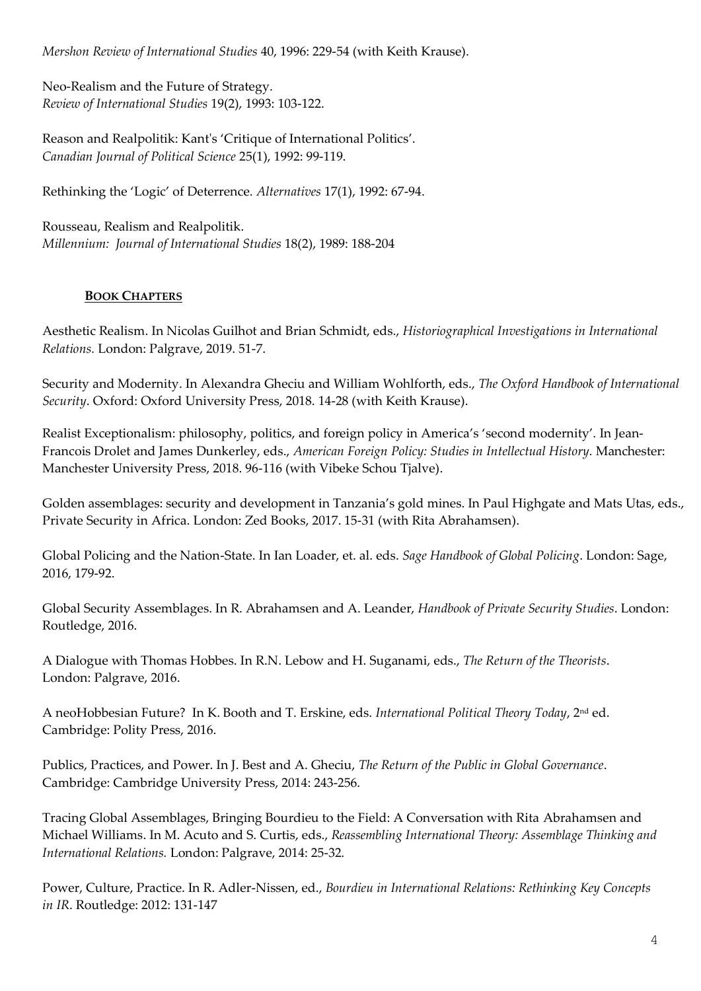*Mershon Review of International Studies* 40, 1996: 229-54 (with Keith Krause).

Neo-Realism and the Future of Strategy. *Review of International Studies* 19(2), 1993: 103-122.

Reason and Realpolitik: Kant's 'Critique of International Politics'. *Canadian Journal of Political Science* 25(1), 1992: 99-119.

Rethinking the 'Logic' of Deterrence. *Alternatives* 17(1), 1992: 67-94.

Rousseau, Realism and Realpolitik. *Millennium: Journal of International Studies* 18(2), 1989: 188-204

### **BOOK CHAPTERS**

Aesthetic Realism. In Nicolas Guilhot and Brian Schmidt, eds., *Historiographical Investigations in International Relations.* London: Palgrave, 2019. 51-7.

Security and Modernity. In Alexandra Gheciu and William Wohlforth, eds., *The Oxford Handbook of International Security*. Oxford: Oxford University Press, 2018. 14-28 (with Keith Krause).

Realist Exceptionalism: philosophy, politics, and foreign policy in America's 'second modernity'. In Jean-Francois Drolet and James Dunkerley, eds., *American Foreign Policy: Studies in Intellectual History.* Manchester: Manchester University Press, 2018. 96-116 (with Vibeke Schou Tjalve).

Golden assemblages: security and development in Tanzania's gold mines. In Paul Highgate and Mats Utas, eds., Private Security in Africa. London: Zed Books, 2017. 15-31 (with Rita Abrahamsen).

Global Policing and the Nation-State. In Ian Loader, et. al. eds. *Sage Handbook of Global Policing*. London: Sage, 2016, 179-92.

Global Security Assemblages. In R. Abrahamsen and A. Leander, *Handbook of Private Security Studies*. London: Routledge, 2016.

A Dialogue with Thomas Hobbes. In R.N. Lebow and H. Suganami, eds., *The Return of the Theorists*. London: Palgrave, 2016.

A neoHobbesian Future? In K. Booth and T. Erskine, eds. *International Political Theory Today*, 2nd ed. Cambridge: Polity Press, 2016.

Publics, Practices, and Power. In J. Best and A. Gheciu, *The Return of the Public in Global Governance*. Cambridge: Cambridge University Press, 2014: 243-256.

Tracing Global Assemblages, Bringing Bourdieu to the Field: A Conversation with Rita Abrahamsen and Michael Williams. In M. Acuto and S. Curtis, eds., *Reassembling International Theory: Assemblage Thinking and International Relations.* London: Palgrave, 2014: 25-32.

Power, Culture, Practice. In R. Adler-Nissen, ed., *Bourdieu in International Relations: Rethinking Key Concepts in IR*. Routledge: 2012: 131-147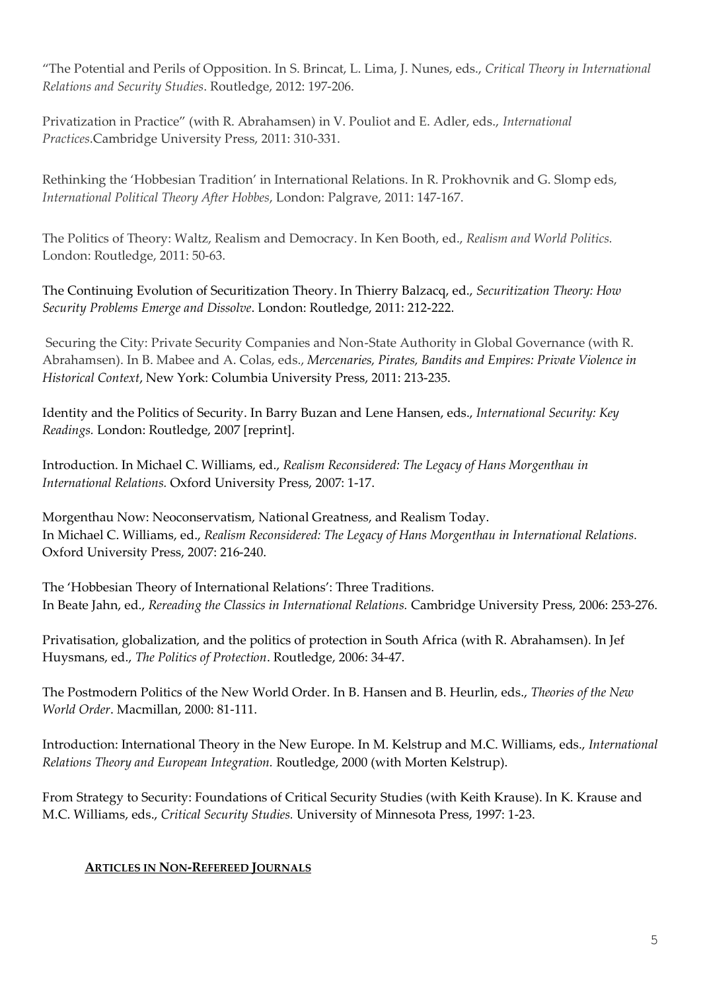"The Potential and Perils of Opposition. In S. Brincat, L. Lima, J. Nunes, eds., *Critical Theory in International Relations and Security Studies*. Routledge, 2012: 197-206.

Privatization in Practice" (with R. Abrahamsen) in V. Pouliot and E. Adler, eds., *International Practices*.Cambridge University Press, 2011: 310-331.

Rethinking the 'Hobbesian Tradition' in International Relations. In R. Prokhovnik and G. Slomp eds, *International Political Theory After Hobbes*, London: Palgrave, 2011: 147-167.

The Politics of Theory: Waltz, Realism and Democracy. In Ken Booth, ed., *Realism and World Politics.* London: Routledge, 2011: 50-63.

The Continuing Evolution of Securitization Theory. In Thierry Balzacq, ed., *Securitization Theory: How Security Problems Emerge and Dissolve*. London: Routledge, 2011: 212-222.

Securing the City: Private Security Companies and Non-State Authority in Global Governance (with R. Abrahamsen). In B. Mabee and A. Colas, eds., *Mercenaries, Pirates, Bandits and Empires: Private Violence in Historical Context*, New York: Columbia University Press, 2011: 213-235.

Identity and the Politics of Security. In Barry Buzan and Lene Hansen, eds., *International Security: Key Readings.* London: Routledge, 2007 [reprint].

Introduction. In Michael C. Williams, ed., *Realism Reconsidered: The Legacy of Hans Morgenthau in International Relations.* Oxford University Press, 2007: 1-17.

Morgenthau Now: Neoconservatism, National Greatness, and Realism Today. In Michael C. Williams, ed., *Realism Reconsidered: The Legacy of Hans Morgenthau in International Relations.*  Oxford University Press, 2007: 216-240.

The 'Hobbesian Theory of International Relations': Three Traditions. In Beate Jahn, ed., *Rereading the Classics in International Relations.* Cambridge University Press, 2006: 253-276.

Privatisation, globalization, and the politics of protection in South Africa (with R. Abrahamsen). In Jef Huysmans, ed., *The Politics of Protection*. Routledge, 2006: 34-47.

The Postmodern Politics of the New World Order. In B. Hansen and B. Heurlin, eds., *Theories of the New World Order*. Macmillan, 2000: 81-111.

Introduction: International Theory in the New Europe. In M. Kelstrup and M.C. Williams, eds., *International Relations Theory and European Integration.* Routledge, 2000 (with Morten Kelstrup).

From Strategy to Security: Foundations of Critical Security Studies (with Keith Krause). In K. Krause and M.C. Williams, eds., *Critical Security Studies.* University of Minnesota Press, 1997: 1-23.

### **ARTICLES IN NON-REFEREED JOURNALS**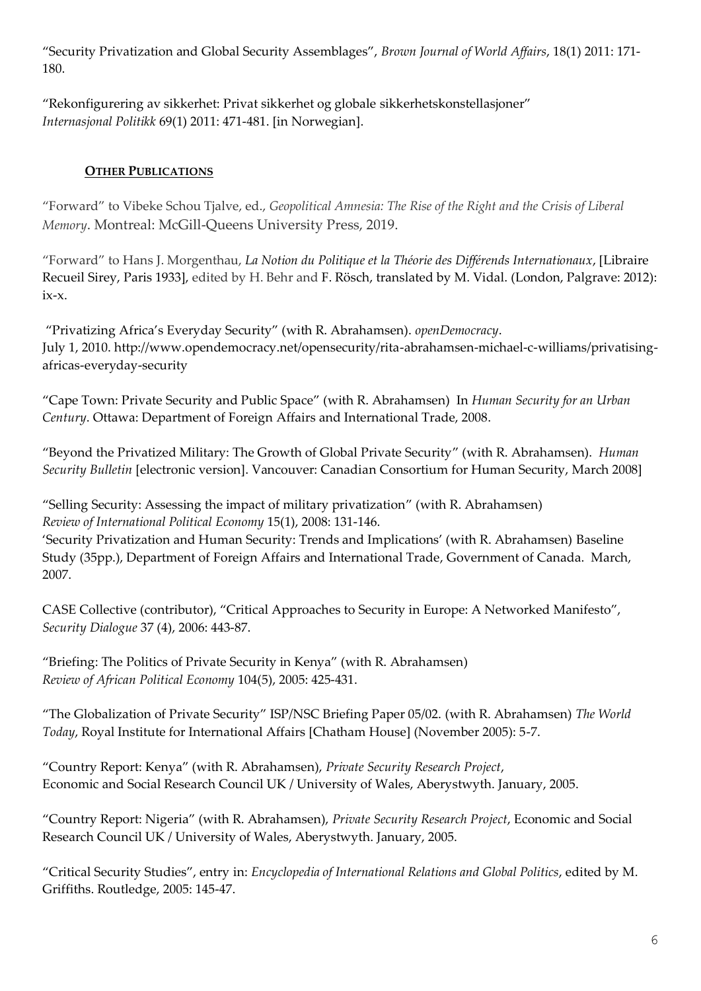"Security Privatization and Global Security Assemblages", *Brown Journal of World Affairs*, 18(1) 2011: 171- 180.

"Rekonfigurering av sikkerhet: Privat sikkerhet og globale sikkerhetskonstellasjoner" *Internasjonal Politikk* 69(1) 2011: 471-481. [in Norwegian].

## **OTHER PUBLICATIONS**

"Forward" to Vibeke Schou Tjalve, ed., *Geopolitical Amnesia: The Rise of the Right and the Crisis of Liberal Memory*. Montreal: McGill-Queens University Press, 2019.

"Forward" to Hans J. Morgenthau, *La Notion du Politique et la Théorie des Différends Internationaux*, [Libraire Recueil Sirey, Paris 1933], edited by H. Behr and F. Rösch, translated by M. Vidal. (London, Palgrave: 2012): ix-x.

"Privatizing Africa's Everyday Security" (with R. Abrahamsen). *openDemocracy*. July 1, 2010. http://www.opendemocracy.net/opensecurity/rita-abrahamsen-michael-c-williams/privatisingafricas-everyday-security

"Cape Town: Private Security and Public Space" (with R. Abrahamsen) In *Human Security for an Urban Century*. Ottawa: Department of Foreign Affairs and International Trade, 2008.

"Beyond the Privatized Military: The Growth of Global Private Security" (with R. Abrahamsen). *Human Security Bulletin* [electronic version]. Vancouver: Canadian Consortium for Human Security, March 2008]

"Selling Security: Assessing the impact of military privatization" (with R. Abrahamsen) *Review of International Political Economy* 15(1), 2008: 131-146.

'Security Privatization and Human Security: Trends and Implications' (with R. Abrahamsen) Baseline Study (35pp.), Department of Foreign Affairs and International Trade, Government of Canada. March, 2007.

CASE Collective (contributor), "Critical Approaches to Security in Europe: A Networked Manifesto", *Security Dialogue* 37 (4), 2006: 443-87.

"Briefing: The Politics of Private Security in Kenya" (with R. Abrahamsen) *Review of African Political Economy* 104(5), 2005: 425-431.

"The Globalization of Private Security" ISP/NSC Briefing Paper 05/02. (with R. Abrahamsen) *The World Today*, Royal Institute for International Affairs [Chatham House] (November 2005): 5-7.

"Country Report: Kenya" (with R. Abrahamsen), *Private Security Research Project*, Economic and Social Research Council UK / University of Wales, Aberystwyth. January, 2005.

"Country Report: Nigeria" (with R. Abrahamsen), *Private Security Research Project*, Economic and Social Research Council UK / University of Wales, Aberystwyth. January, 2005.

"Critical Security Studies", entry in: *Encyclopedia of International Relations and Global Politics*, edited by M. Griffiths. Routledge, 2005: 145-47.